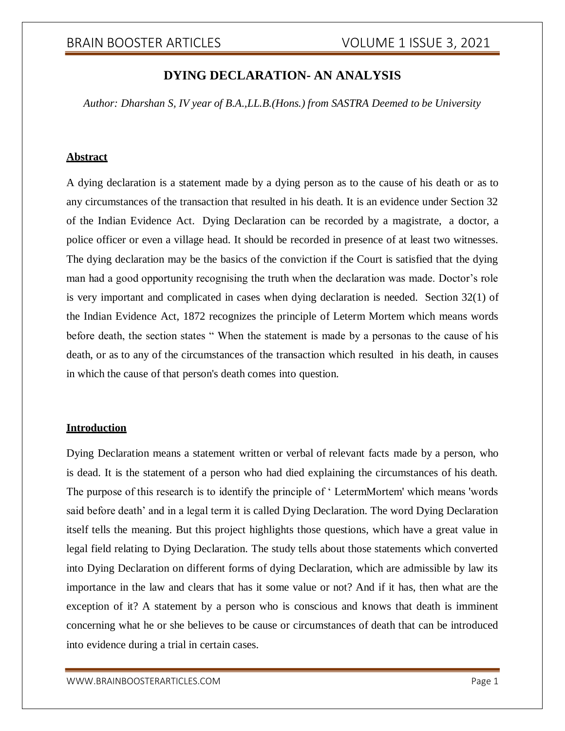# **DYING DECLARATION- AN ANALYSIS**

*Author: Dharshan S, IV year of B.A.,LL.B.(Hons.) from SASTRA Deemed to be University*

# **Abstract**

A dying declaration is a statement made by a dying person as to the cause of his death or as to any circumstances of the transaction that resulted in his death. It is an evidence under Section 32 of the Indian Evidence Act. Dying Declaration can be recorded by a magistrate, a doctor, a police officer or even a village head. It should be recorded in presence of at least two witnesses. The dying declaration may be the basics of the conviction if the Court is satisfied that the dying man had a good opportunity recognising the truth when the declaration was made. Doctor's role is very important and complicated in cases when dying declaration is needed. Section 32(1) of the Indian Evidence Act, 1872 recognizes the principle of Leterm Mortem which means words before death, the section states " When the statement is made by a personas to the cause of his death, or as to any of the circumstances of the transaction which resulted in his death, in causes in which the cause of that person's death comes into question.

# **Introduction**

Dying Declaration means a statement written or verbal of relevant facts made by a person, who is dead. It is the statement of a person who had died explaining the circumstances of his death. The purpose of this research is to identify the principle of ' LetermMortem' which means 'words said before death' and in a legal term it is called Dying Declaration. The word Dying Declaration itself tells the meaning. But this project highlights those questions, which have a great value in legal field relating to Dying Declaration. The study tells about those statements which converted into Dying Declaration on different forms of dying Declaration, which are admissible by law its importance in the law and clears that has it some value or not? And if it has, then what are the exception of it? A statement by a person who is conscious and knows that death is imminent concerning what he or she believes to be cause or circumstances of death that can be introduced into evidence during a trial in certain cases.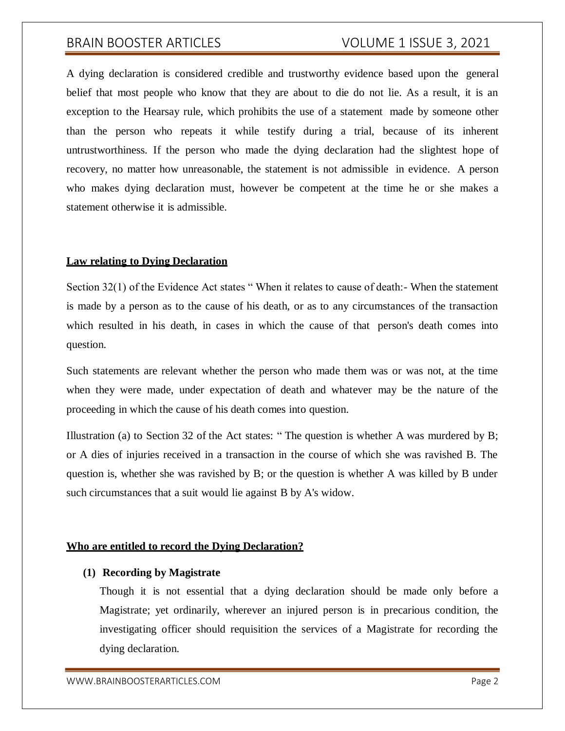# BRAIN BOOSTER ARTICLES VOLUME 1 ISSUE 3, 2021

A dying declaration is considered credible and trustworthy evidence based upon the general belief that most people who know that they are about to die do not lie. As a result, it is an exception to the Hearsay rule, which prohibits the use of a statement made by someone other than the person who repeats it while testify during a trial, because of its inherent untrustworthiness. If the person who made the dying declaration had the slightest hope of recovery, no matter how unreasonable, the statement is not admissible in evidence. A person who makes dying declaration must, however be competent at the time he or she makes a statement otherwise it is admissible.

#### **Law relating to Dying Declaration**

Section 32(1) of the Evidence Act states " When it relates to cause of death:- When the statement is made by a person as to the cause of his death, or as to any circumstances of the transaction which resulted in his death, in cases in which the cause of that person's death comes into question.

Such statements are relevant whether the person who made them was or was not, at the time when they were made, under expectation of death and whatever may be the nature of the proceeding in which the cause of his death comes into question.

Illustration (a) to Section 32 of the Act states: " The question is whether A was murdered by B; or A dies of injuries received in a transaction in the course of which she was ravished B. The question is, whether she was ravished by B; or the question is whether A was killed by B under such circumstances that a suit would lie against B by A's widow.

# **Who are entitled to record the Dying Declaration?**

### **(1) Recording by Magistrate**

Though it is not essential that a dying declaration should be made only before a Magistrate; yet ordinarily, wherever an injured person is in precarious condition, the investigating officer should requisition the services of a Magistrate for recording the dying declaration.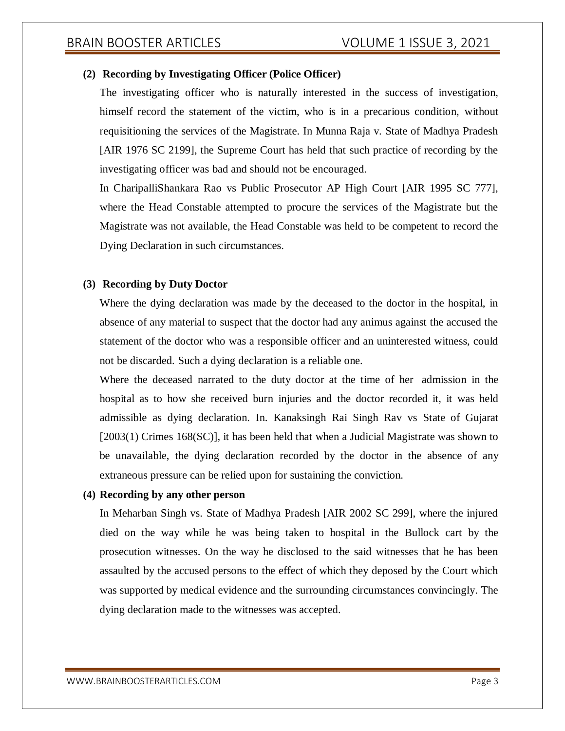## **(2) Recording by Investigating Officer (Police Officer)**

The investigating officer who is naturally interested in the success of investigation, himself record the statement of the victim, who is in a precarious condition, without requisitioning the services of the Magistrate. In Munna Raja v. State of Madhya Pradesh [AIR 1976 SC 2199], the Supreme Court has held that such practice of recording by the investigating officer was bad and should not be encouraged.

In CharipalliShankara Rao vs Public Prosecutor AP High Court [AIR 1995 SC 777], where the Head Constable attempted to procure the services of the Magistrate but the Magistrate was not available, the Head Constable was held to be competent to record the Dying Declaration in such circumstances.

## **(3) Recording by Duty Doctor**

Where the dying declaration was made by the deceased to the doctor in the hospital, in absence of any material to suspect that the doctor had any animus against the accused the statement of the doctor who was a responsible officer and an uninterested witness, could not be discarded. Such a dying declaration is a reliable one.

Where the deceased narrated to the duty doctor at the time of her admission in the hospital as to how she received burn injuries and the doctor recorded it, it was held admissible as dying declaration. In. Kanaksingh Rai Singh Rav vs State of Gujarat [2003(1) Crimes 168(SC)], it has been held that when a Judicial Magistrate was shown to be unavailable, the dying declaration recorded by the doctor in the absence of any extraneous pressure can be relied upon for sustaining the conviction.

#### **(4) Recording by any other person**

In Meharban Singh vs. State of Madhya Pradesh [AIR 2002 SC 299], where the injured died on the way while he was being taken to hospital in the Bullock cart by the prosecution witnesses. On the way he disclosed to the said witnesses that he has been assaulted by the accused persons to the effect of which they deposed by the Court which was supported by medical evidence and the surrounding circumstances convincingly. The dying declaration made to the witnesses was accepted.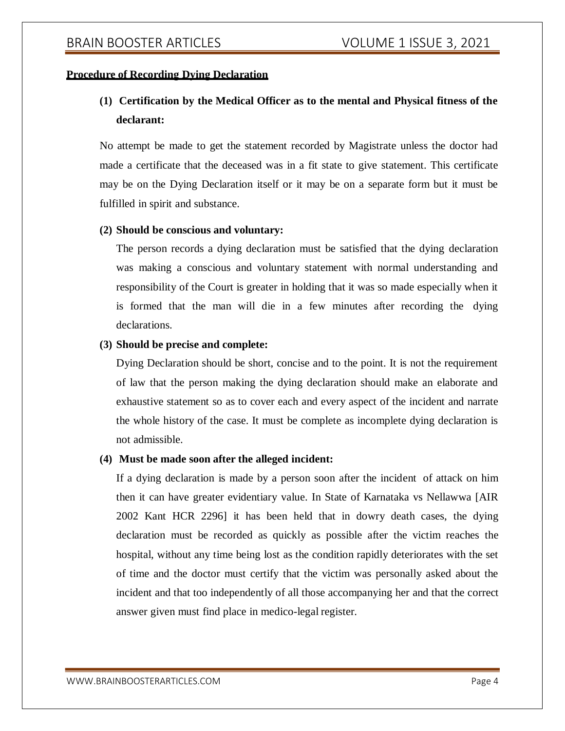## **Procedure of Recording Dying Declaration**

# **(1) Certification by the Medical Officer as to the mental and Physical fitness of the declarant:**

No attempt be made to get the statement recorded by Magistrate unless the doctor had made a certificate that the deceased was in a fit state to give statement. This certificate may be on the Dying Declaration itself or it may be on a separate form but it must be fulfilled in spirit and substance.

#### **(2) Should be conscious and voluntary:**

The person records a dying declaration must be satisfied that the dying declaration was making a conscious and voluntary statement with normal understanding and responsibility of the Court is greater in holding that it was so made especially when it is formed that the man will die in a few minutes after recording the dying declarations.

## **(3) Should be precise and complete:**

Dying Declaration should be short, concise and to the point. It is not the requirement of law that the person making the dying declaration should make an elaborate and exhaustive statement so as to cover each and every aspect of the incident and narrate the whole history of the case. It must be complete as incomplete dying declaration is not admissible.

### **(4) Must be made soon after the alleged incident:**

If a dying declaration is made by a person soon after the incident of attack on him then it can have greater evidentiary value. In State of Karnataka vs Nellawwa [AIR 2002 Kant HCR 2296] it has been held that in dowry death cases, the dying declaration must be recorded as quickly as possible after the victim reaches the hospital, without any time being lost as the condition rapidly deteriorates with the set of time and the doctor must certify that the victim was personally asked about the incident and that too independently of all those accompanying her and that the correct answer given must find place in medico-legal register.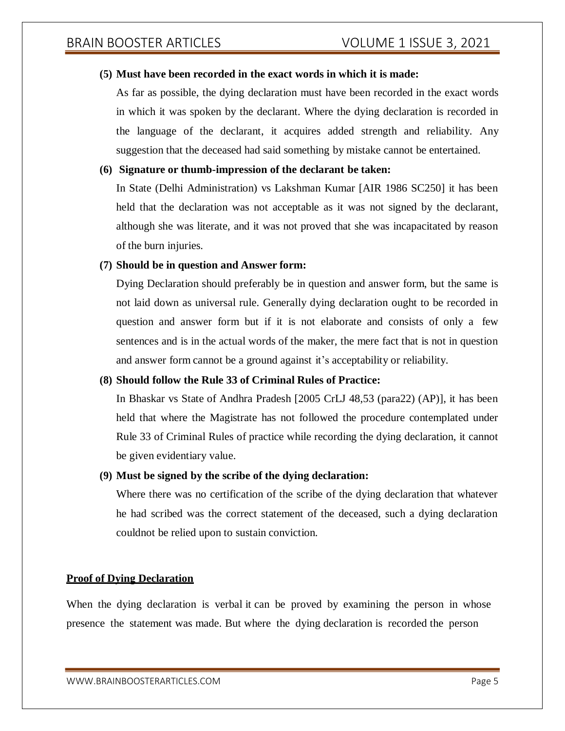# **(5) Must have been recorded in the exact words in which it is made:**

As far as possible, the dying declaration must have been recorded in the exact words in which it was spoken by the declarant. Where the dying declaration is recorded in the language of the declarant, it acquires added strength and reliability. Any suggestion that the deceased had said something by mistake cannot be entertained.

## **(6) Signature or thumb-impression of the declarant be taken:**

In State (Delhi Administration) vs Lakshman Kumar [AIR 1986 SC250] it has been held that the declaration was not acceptable as it was not signed by the declarant, although she was literate, and it was not proved that she was incapacitated by reason of the burn injuries.

## **(7) Should be in question and Answer form:**

Dying Declaration should preferably be in question and answer form, but the same is not laid down as universal rule. Generally dying declaration ought to be recorded in question and answer form but if it is not elaborate and consists of only a few sentences and is in the actual words of the maker, the mere fact that is not in question and answer form cannot be a ground against it's acceptability or reliability.

# **(8) Should follow the Rule 33 of Criminal Rules of Practice:**

In Bhaskar vs State of Andhra Pradesh [2005 CrLJ 48,53 (para22) (AP)], it has been held that where the Magistrate has not followed the procedure contemplated under Rule 33 of Criminal Rules of practice while recording the dying declaration, it cannot be given evidentiary value.

# **(9) Must be signed by the scribe of the dying declaration:**

Where there was no certification of the scribe of the dying declaration that whatever he had scribed was the correct statement of the deceased, such a dying declaration couldnot be relied upon to sustain conviction.

# **Proof of Dying Declaration**

When the dying declaration is verbal it can be proved by examining the person in whose presence the statement was made. But where the dying declaration is recorded the person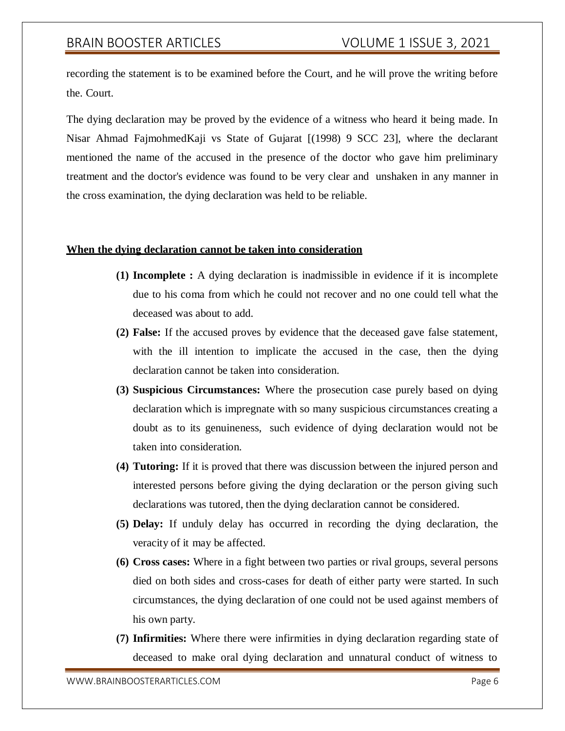# BRAIN BOOSTER ARTICLES VOLUME 1 ISSUE 3, 2021

recording the statement is to be examined before the Court, and he will prove the writing before the. Court.

The dying declaration may be proved by the evidence of a witness who heard it being made. In Nisar Ahmad FajmohmedKaji vs State of Gujarat [(1998) 9 SCC 23], where the declarant mentioned the name of the accused in the presence of the doctor who gave him preliminary treatment and the doctor's evidence was found to be very clear and unshaken in any manner in the cross examination, the dying declaration was held to be reliable.

#### **When the dying declaration cannot be taken into consideration**

- **(1) Incomplete :** A dying declaration is inadmissible in evidence if it is incomplete due to his coma from which he could not recover and no one could tell what the deceased was about to add.
- **(2) False:** If the accused proves by evidence that the deceased gave false statement, with the ill intention to implicate the accused in the case, then the dying declaration cannot be taken into consideration.
- **(3) Suspicious Circumstances:** Where the prosecution case purely based on dying declaration which is impregnate with so many suspicious circumstances creating a doubt as to its genuineness, such evidence of dying declaration would not be taken into consideration.
- **(4) Tutoring:** If it is proved that there was discussion between the injured person and interested persons before giving the dying declaration or the person giving such declarations was tutored, then the dying declaration cannot be considered.
- **(5) Delay:** If unduly delay has occurred in recording the dying declaration, the veracity of it may be affected.
- **(6) Cross cases:** Where in a fight between two parties or rival groups, several persons died on both sides and cross-cases for death of either party were started. In such circumstances, the dying declaration of one could not be used against members of his own party.
- **(7) Infirmities:** Where there were infirmities in dying declaration regarding state of deceased to make oral dying declaration and unnatural conduct of witness to